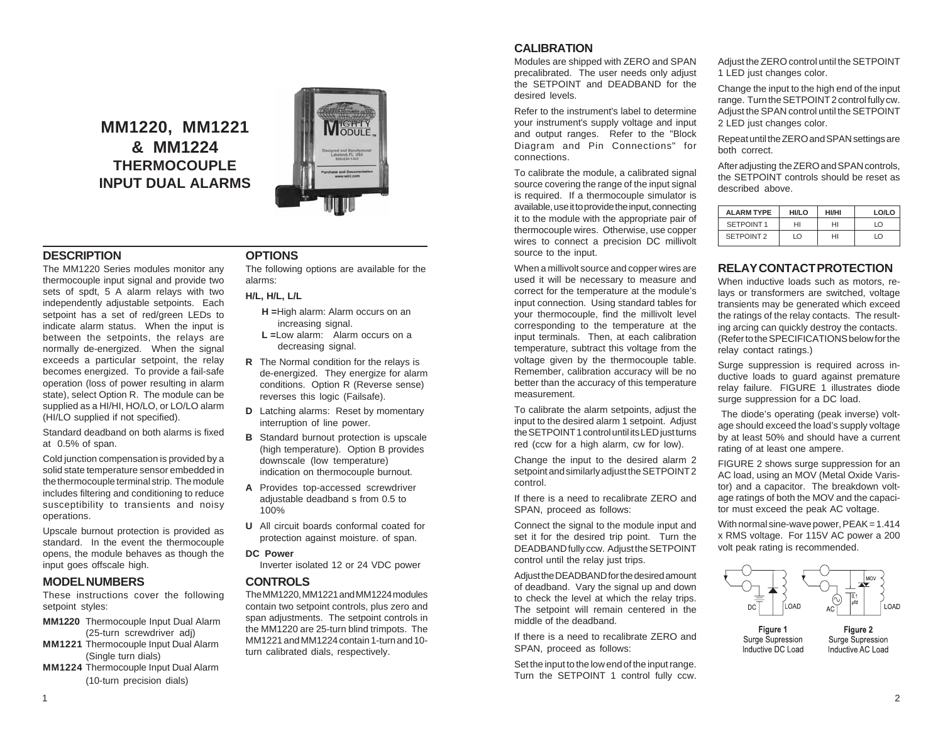# **MM1220, MM1221 & MM1224 THERMOCOUPLE INPUT DUAL ALARMS**



## **DESCRIPTION**

The MM1220 Series modules monitor any thermocouple input signal and provide two sets of spdt, 5 A alarm relays with two independently adjustable setpoints. Each setpoint has a set of red/green LEDs to indicate alarm status. When the input is between the setpoints, the relays are normally de-energized. When the signal exceeds a particular setpoint, the relay becomes energized. To provide a fail-safe operation (loss of power resulting in alarm state), select Option R. The module can be supplied as a HI/HI, HO/LO, or LO/LO alarm (HI/LO supplied if not specified).

Standard deadband on both alarms is fixed at 0.5% of span.

Cold junction compensation is provided by a solid state temperature sensor embedded in the thermocouple terminal strip. The module includes filtering and conditioning to reduce susceptibility to transients and noisy operations.

Upscale burnout protection is provided as standard. In the event the thermocouple opens, the module behaves as though the input goes offscale high.

### **MODEL NUMBERS**

These instructions cover the following setpoint styles:

- **MM1220** Thermocouple Input Dual Alarm (25-turn screwdriver adj)
- **MM1221** Thermocouple Input Dual Alarm (Single turn dials)
- **MM1224** Thermocouple Input Dual Alarm (10-turn precision dials)

#### **OPTIONS**

The following options are available for the alarms:

#### **H/L, H/L, L/L**

- **H =**High alarm: Alarm occurs on an increasing signal.
- **L =**Low alarm: Alarm occurs on a decreasing signal.
- **R** The Normal condition for the relays is de-energized. They energize for alarm conditions. Option R (Reverse sense) reverses this logic (Failsafe).
- **D** Latching alarms: Reset by momentary interruption of line power.
- **B** Standard burnout protection is upscale (high temperature). Option B provides downscale (low temperature) indication on thermocouple burnout.
- **A** Provides top-accessed screwdriver adjustable deadband s from 0.5 to 100%
- **U** All circuit boards conformal coated for protection against moisture. of span.

#### **DC Power**

Inverter isolated 12 or 24 VDC power

#### **CONTROLS**

The MM1220, MM1221 and MM1224 modules contain two setpoint controls, plus zero and span adjustments. The setpoint controls in the MM1220 are 25-turn blind trimpots. The MM1221 and MM1224 contain 1-turn and 10 turn calibrated dials, respectively.

# **CALIBRATION**

Modules are shipped with ZERO and SPAN precalibrated. The user needs only adjust the SETPOINT and DEADBAND for the desired levels.

Refer to the instrument's label to determine your instrument's supply voltage and input and output ranges. Refer to the "Block Diagram and Pin Connections" for connections.

To calibrate the module, a calibrated signal source covering the range of the input signal is required. If a thermocouple simulator is available, use it to provide the input, connecting it to the module with the appropriate pair of thermocouple wires. Otherwise, use copper wires to connect a precision DC millivolt source to the input.

When a millivolt source and copper wires are used it will be necessary to measure and correct for the temperature at the module's input connection. Using standard tables for your thermocouple, find the millivolt level corresponding to the temperature at the input terminals. Then, at each calibration temperature, subtract this voltage from the voltage given by the thermocouple table. Remember, calibration accuracy will be no better than the accuracy of this temperature measurement.

To calibrate the alarm setpoints, adjust the input to the desired alarm 1 setpoint. Adjust the SETPOINT 1 control until its LED just turns red (ccw for a high alarm, cw for low).

Change the input to the desired alarm 2 setpoint and similarly adjust the SETPOINT 2 control.

If there is a need to recalibrate ZERO and SPAN, proceed as follows:

Connect the signal to the module input and set it for the desired trip point. Turn the DEADBAND fully ccw. Adjust the SETPOINT control until the relay just trips.

Adjust the DEADBAND for the desired amount of deadband. Vary the signal up and down to check the level at which the relay trips. The setpoint will remain centered in the middle of the deadband.

If there is a need to recalibrate ZERO and SPAN, proceed as follows:

Set the input to the low end of the input range. Turn the SETPOINT 1 control fully ccw.

Adjust the ZERO control until the SETPOINT 1 LED just changes color.

Change the input to the high end of the input range. Turn the SETPOINT 2 control fully cw. Adjust the SPAN control until the SETPOINT 2 LED just changes color.

Repeat until the ZERO and SPAN settings are both correct.

After adjusting the ZERO and SPAN controls, the SETPOINT controls should be reset as described above.

| <b>ALARM TYPE</b> | <b>HI/LO</b> | <b>HI/HI</b> | LO/LO          |
|-------------------|--------------|--------------|----------------|
| SETPOINT 1        | HI           | нı           | $\overline{0}$ |
| SETPOINT 2        | LO           | нı           | LO             |

## **RELAY CONTACT PROTECTION**

When inductive loads such as motors, relays or transformers are switched, voltage transients may be generated which exceed the ratings of the relay contacts. The resulting arcing can quickly destroy the contacts. (Refer to the SPECIFICATIONS below for the relay contact ratings.)

Surge suppression is required across inductive loads to guard against premature relay failure. FIGURE 1 illustrates diode surge suppression for a DC load.

 The diode's operating (peak inverse) voltage should exceed the load's supply voltage by at least 50% and should have a current rating of at least one ampere.

FIGURE 2 shows surge suppression for an AC load, using an MOV (Metal Oxide Varistor) and a capacitor. The breakdown voltage ratings of both the MOV and the capacitor must exceed the peak AC voltage.

With normal sine-wave power,  $PEAK = 1.414$ x RMS voltage. For 115V AC power a 200 volt peak rating is recommended.